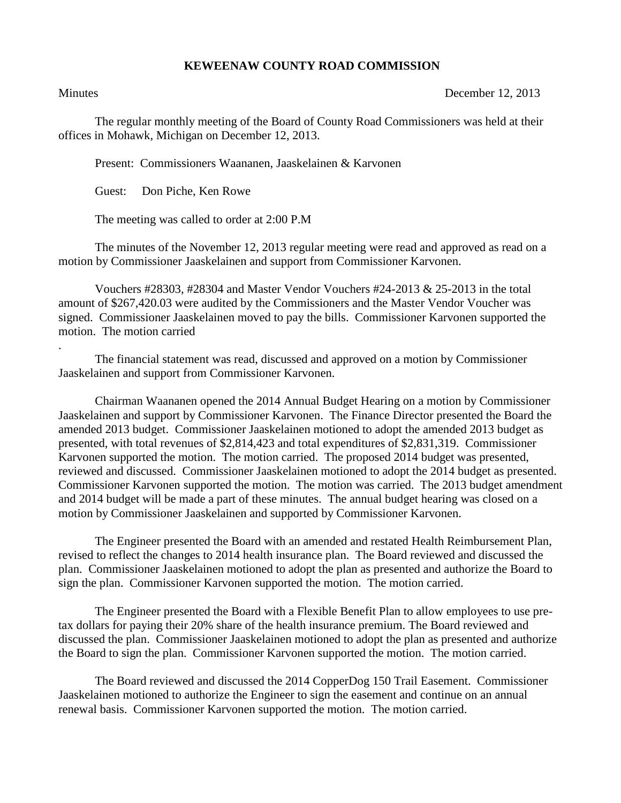## **KEWEENAW COUNTY ROAD COMMISSION**

.

Minutes December 12, 2013

The regular monthly meeting of the Board of County Road Commissioners was held at their offices in Mohawk, Michigan on December 12, 2013.

Present: Commissioners Waananen, Jaaskelainen & Karvonen

Guest: Don Piche, Ken Rowe

The meeting was called to order at 2:00 P.M

The minutes of the November 12, 2013 regular meeting were read and approved as read on a motion by Commissioner Jaaskelainen and support from Commissioner Karvonen.

Vouchers #28303, #28304 and Master Vendor Vouchers #24-2013 & 25-2013 in the total amount of \$267,420.03 were audited by the Commissioners and the Master Vendor Voucher was signed. Commissioner Jaaskelainen moved to pay the bills. Commissioner Karvonen supported the motion. The motion carried

The financial statement was read, discussed and approved on a motion by Commissioner Jaaskelainen and support from Commissioner Karvonen.

Chairman Waananen opened the 2014 Annual Budget Hearing on a motion by Commissioner Jaaskelainen and support by Commissioner Karvonen. The Finance Director presented the Board the amended 2013 budget. Commissioner Jaaskelainen motioned to adopt the amended 2013 budget as presented, with total revenues of \$2,814,423 and total expenditures of \$2,831,319. Commissioner Karvonen supported the motion. The motion carried. The proposed 2014 budget was presented, reviewed and discussed. Commissioner Jaaskelainen motioned to adopt the 2014 budget as presented. Commissioner Karvonen supported the motion. The motion was carried. The 2013 budget amendment and 2014 budget will be made a part of these minutes. The annual budget hearing was closed on a motion by Commissioner Jaaskelainen and supported by Commissioner Karvonen.

The Engineer presented the Board with an amended and restated Health Reimbursement Plan, revised to reflect the changes to 2014 health insurance plan. The Board reviewed and discussed the plan. Commissioner Jaaskelainen motioned to adopt the plan as presented and authorize the Board to sign the plan. Commissioner Karvonen supported the motion. The motion carried.

The Engineer presented the Board with a Flexible Benefit Plan to allow employees to use pretax dollars for paying their 20% share of the health insurance premium. The Board reviewed and discussed the plan. Commissioner Jaaskelainen motioned to adopt the plan as presented and authorize the Board to sign the plan. Commissioner Karvonen supported the motion. The motion carried.

The Board reviewed and discussed the 2014 CopperDog 150 Trail Easement. Commissioner Jaaskelainen motioned to authorize the Engineer to sign the easement and continue on an annual renewal basis. Commissioner Karvonen supported the motion. The motion carried.